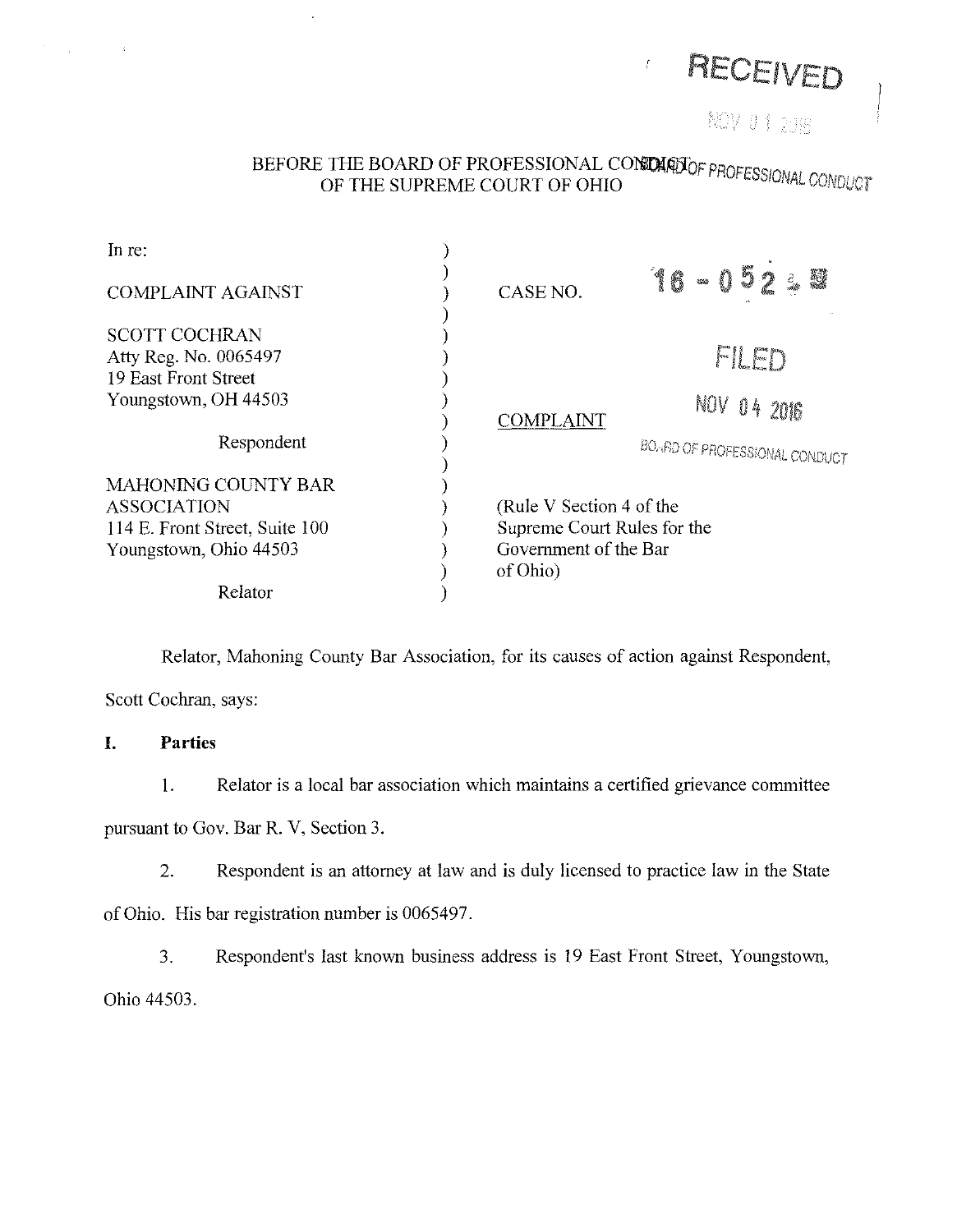

# BEFORE THE BOARD OF PROFESSIONAL CON**OAQJ**OF <sub>PROI</sub> OF THE SUPREME COURT OF OHIO THE SUPPREMENT OF SALE CONDUCT

| In re:                                                                                                       |                                                                                              |                                                        |
|--------------------------------------------------------------------------------------------------------------|----------------------------------------------------------------------------------------------|--------------------------------------------------------|
| <b>COMPLAINT AGAINST</b>                                                                                     | CASE NO.                                                                                     | 16-052<br>讚<br>$\vec{c}_{\rm obs}$                     |
| <b>SCOTT COCHRAN</b><br>Atty Reg. No. 0065497<br>19 East Front Street<br>Youngstown, OH 44503                |                                                                                              | FILED                                                  |
| Respondent                                                                                                   | <b>COMPLAINT</b>                                                                             | NOV .<br>04206<br><b>BOARD OF PROFESSIONAL CONDUCT</b> |
| <b>MAHONING COUNTY BAR</b><br><b>ASSOCIATION</b><br>114 E. Front Street, Suite 100<br>Youngstown, Ohio 44503 | (Rule V Section 4 of the<br>Supreme Court Rules for the<br>Government of the Bar<br>of Ohio) |                                                        |
| Relator                                                                                                      |                                                                                              |                                                        |

Relator, Mahoning County Bar Association, for its causes of action against Respondent,

Scott Cochran, says:

## I. **Parties**

 $\sim 10^7$ 

 $\mathcal{L}^{\text{max}}_{\text{max}}$ 

1. Relator is a local bar association which maintains a certified grievance committee

pursuant to Gov. Bar R. V, Section 3.

2. Respondent is an attorney at law and is duly licensed to practice law in the State

of Ohio. His bar registration number is 0065497.

3. Respondent's last known business address is 19 East Front Street, Youngstown, Ohio 44503.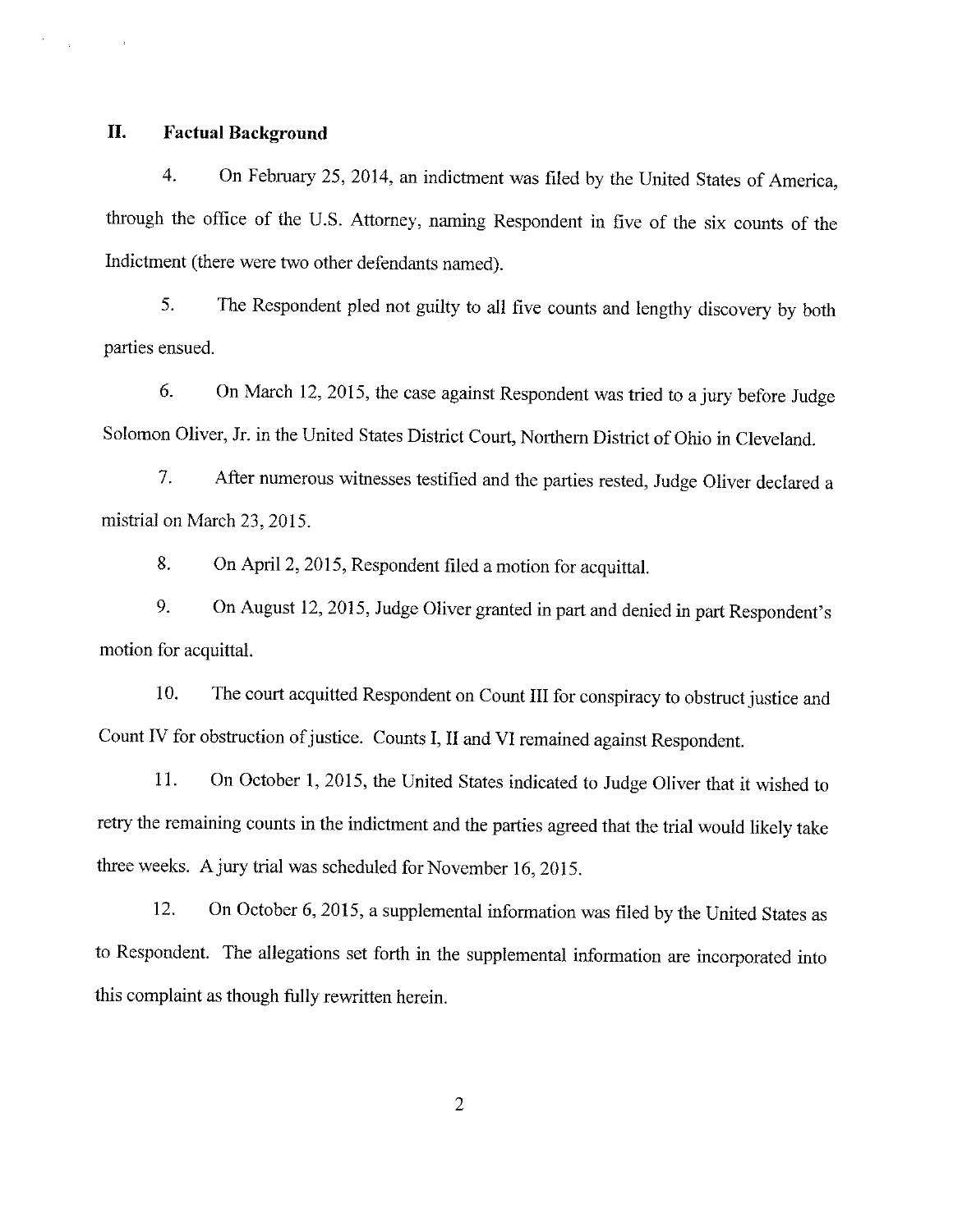# **II. Factual Background**

4. On February 25, 2014, an indictment was filed by the United States of America, through the office of the U.S. Attorney, naming Respondent in five of the six counts of the Indictment (there were two other defendants named).

5. The Respondent pied not guilty to all five counts and lengthy discovery by both parties ensued.

6. On March 12, 2015, the case against Respondent was tried to a jury before Judge Solomon Oliver, Jr. in the United States District Court, Northern District of Ohio in Cleveland.

7. After numerous witnesses testified and the parties rested, Judge Oliver declared a mistrial on March 23, 2015.

8. On April 2, 2015, Respondent filed a motion for acquittal.

9. On August 12, 2015, Judge Oliver granted in part and denied in part Respondent's motion for acquittal.

10. The court acquitted Respondent on Count III for conspiracy to obstruct justice and Count IV for obstruction of justice. Counts I, II and VI remained against Respondent.

11. On October 1, 2015, the United States indicated to Judge Oliver that it wished to retry the remaining counts in the indictment and the parties agreed that the trial would likely take three weeks. A jury trial was scheduled for November 16, 2015.

12. On October 6, 2015, a supplemental information was filed by the United States as to Respondent. The allegations set forth in the supplemental information are incorporated into this complaint as though fully rewritten herein.

2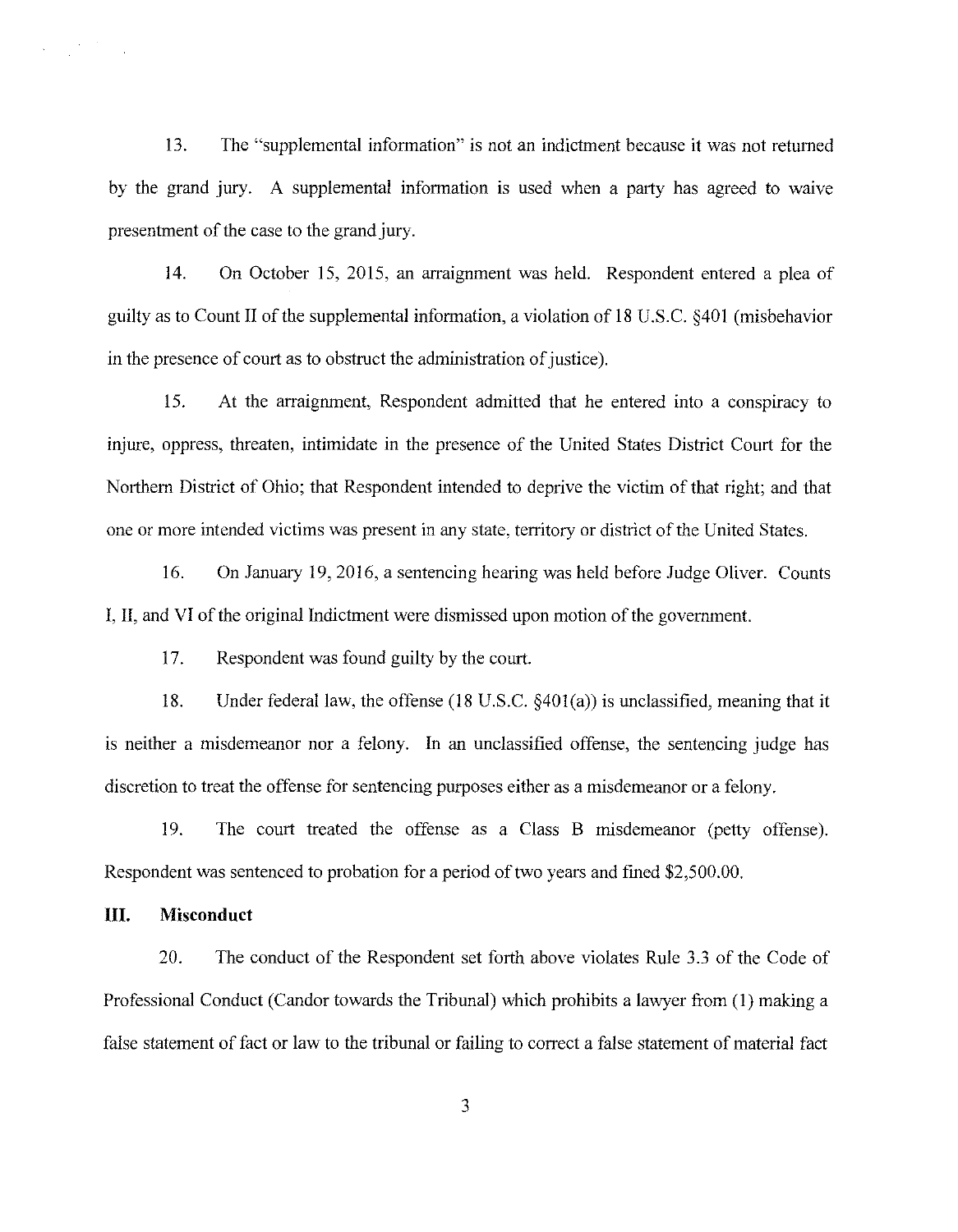13. The "supplemental information" is not an indictment because it was not returned by the grand jury. A supplemental information is used when a party has agreed to waive presentment of the case to the grand jury.

14. On October 15, 2015, an arraignment was held. Respondent entered a plea of guilty as to Count II of the supplemental information, a violation of 18 U.S.C. §401 (misbehavior in the presence of court as to obstruct the administration of justice).

15. At the arraignment, Respondent admitted that he entered into a conspiracy to injure, oppress, threaten, intimidate in the presence of the United States District Court for the Northern District of Ohio; that Respondent intended to deprive the victim of that right; and that one or more intended victims was present in any state, territory or district of the United States.

16. On January 19, 2016, a sentencing hearing was held before Judge Oliver. Counts I, II, and VI of the original Indictment were dismissed upon motion of the government.

17. Respondent was found guilty by the court.

18. Under federal law, the offense (18 U.S.C. §401(a)) is unclassified, meaning that it is neither a misdemeanor nor a felony. In an unclassified offense, the sentencing judge has discretion to treat the offense for sentencing purposes either as a misdemeanor or a felony.

19. The court treated the offense as a Class B misdemeanor (petty offense). Respondent was sentenced to probation for a period of two years and fined \$2,500.00.

#### **III. Misconduct**

 $\label{eq:1} \sum_{i=1}^n \frac{1}{n_i} \sum_{i=1}^n \frac{1}{n_i} \sum_{i=1}^n \frac{1}{n_i} \sum_{i=1}^n \frac{1}{n_i} \sum_{i=1}^n \frac{1}{n_i} \sum_{i=1}^n \frac{1}{n_i} \sum_{i=1}^n \frac{1}{n_i} \sum_{i=1}^n \frac{1}{n_i} \sum_{i=1}^n \frac{1}{n_i} \sum_{i=1}^n \frac{1}{n_i} \sum_{i=1}^n \frac{1}{n_i} \sum_{i=1}^n \frac{1}{n_i} \sum_{i=1}^n$ 

20. The conduct of the Respondent set forth above violates Rule 3.3 of the Code of Professional Conduct (Candor towards the Tribunal) which prohibits a lawyer from (I) making a false statement of fact or law to the tribunal or failing to correct a false statement of material fact

3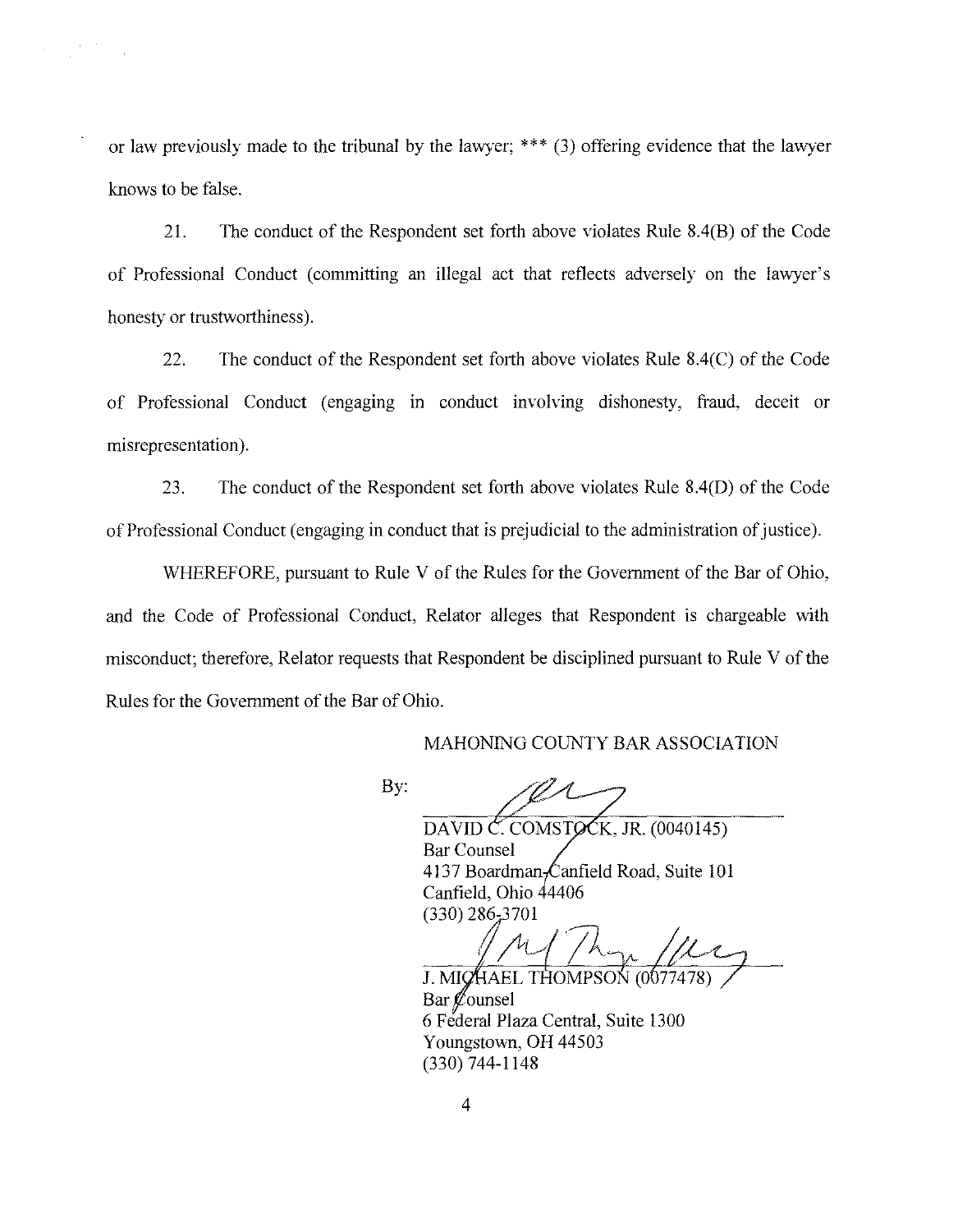or law previously made to the tribunal by the lawyer; \*\*\* (3) offering evidence that the lawyer knows to be false.

21. The conduct of the Respondent set forth above violates Rule 8.4(B) of the Code of Professional Conduct (committing an illegal act that reflects adversely on the lawyer's honesty or trustworthiness).

22. The conduct of the Respondent set forth above violates Rule 8.4(C) of the Code of Professional Conduct ( engaging in conduct involving dishonesty, fraud, deceit or misrepresentation).

23. The conduct of the Respondent set forth above violates Rule 8.4(D) of the Code of Professional Conduct (engaging in conduct that is prejudicial to the administration of justice).

WHEREFORE, pursuant to Rule V of the Rules for the Government of the Bar of Ohio, and the Code of Professional Conduct, Relator alleges that Respondent is chargeable with misconduct; therefore, Relator requests that Respondent be disciplined pursuant to Rule V of the Rules for the Government of the Bar of Ohio.

#### MAHONING COUNTY BAR ASSOCIATION

By:

DAVID C. COMSTOCK, JR.  $(0040145)$ Bar Counsel 4137 Boardman-Canfield Road, Suite 101 Canfield, Ohio 4406  $(330)$  286-3701

J. MICHAEL THOMPSON (0077478) Bar  $\mathscr{O}$ ounsel 6 Federal Plaza Central, Suite 1300 Youngstown, OH 44503 (330) 744-1148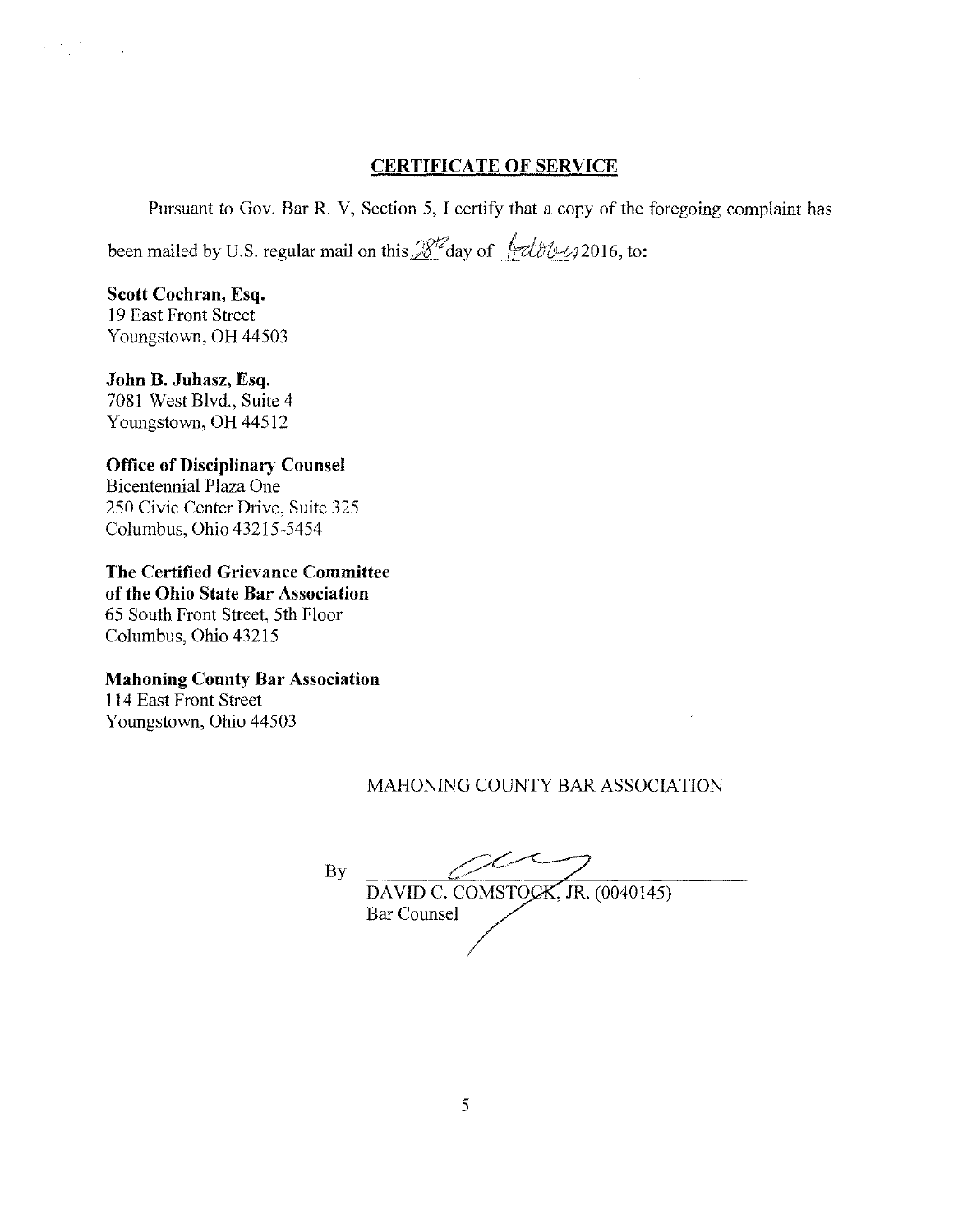## **CERTIFICATE OF SERVICE**

Pursuant to Gov. Bar R. V, Section 5, I certify that a copy of the foregoing complaint has

been mailed by U.S. regular mail on this  $\frac{8}{2}$  day of  $\frac{6}{1}$  dble  $\frac{1}{2}$  2016, to:

**Scott Cochran, Esq.**  19 East Front Street Youngstown, OH 44503

 $\sim$   $^{-1}$ 

**John B. Juhasz, Esq.**  7081 West Blvd., Suite 4 Youngstown, OH 44512

## **Office of Disciplinary Counsel**  Bicentennial Plaza One

250 Civic Center Drive, Suite 325 Columbus, Ohio 43215-5454

**The Certified Grievance Committee of the Ohio State Bar Association**  65 South Front Street, 5th Floor Columbus, Ohio 43215

## **Mahoning County Bar Association**

114 East Front Street Youngstown, Ohio 44503

# MAHONING COUNTY BAR ASSOCIATION

By  $\mathbb{C}$ DAVID C. COMSTOCK, JR. (0040145) Bar Counsel